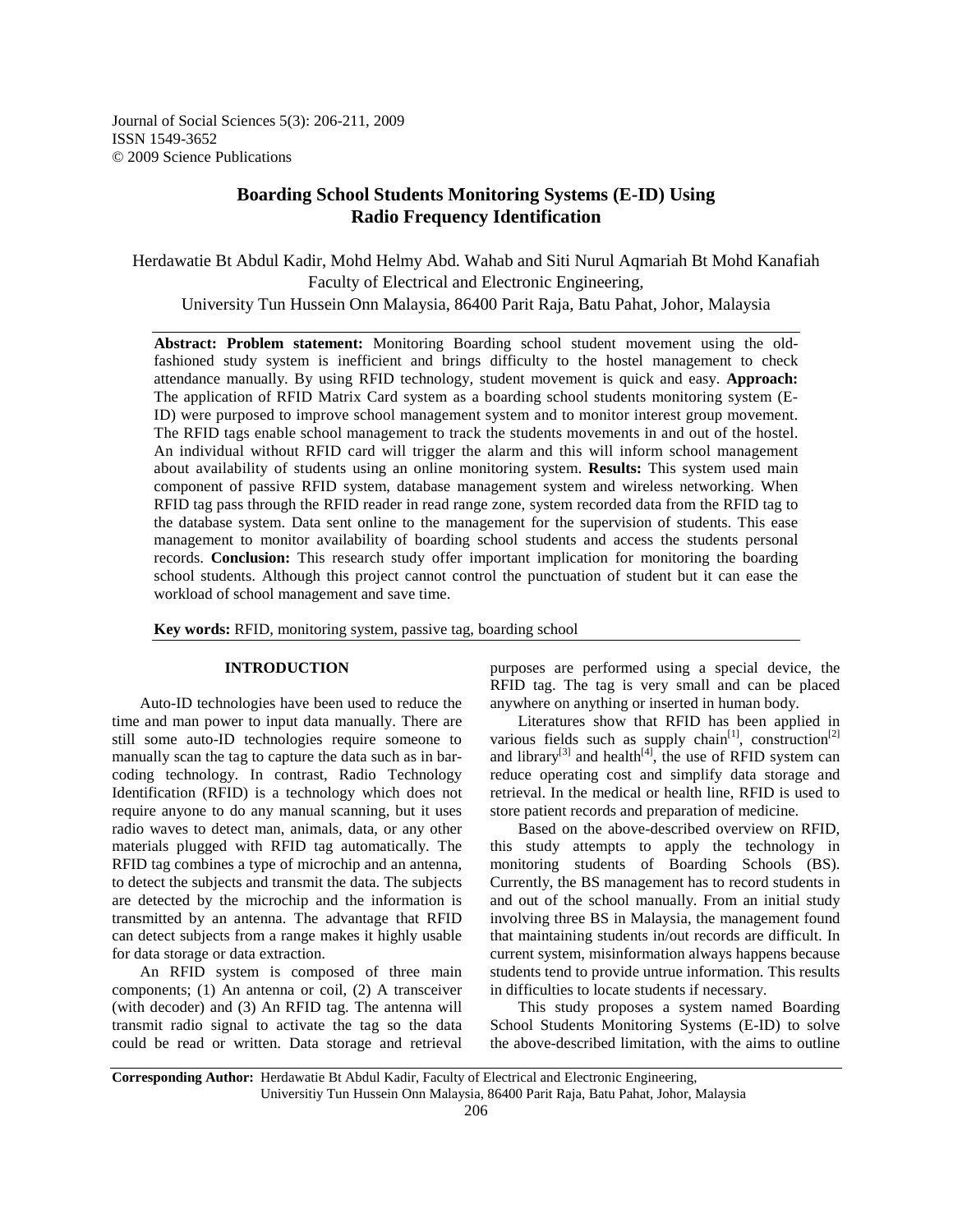Journal of Social Sciences 5(3): 206-211, 2009 ISSN 1549-3652 © 2009 Science Publications

# **Boarding School Students Monitoring Systems (E-ID) Using Radio Frequency Identification**

Herdawatie Bt Abdul Kadir, Mohd Helmy Abd. Wahab and Siti Nurul Aqmariah Bt Mohd Kanafiah Faculty of Electrical and Electronic Engineering,

University Tun Hussein Onn Malaysia, 86400 Parit Raja, Batu Pahat, Johor, Malaysia

**Abstract: Problem statement:** Monitoring Boarding school student movement using the oldfashioned study system is inefficient and brings difficulty to the hostel management to check attendance manually. By using RFID technology, student movement is quick and easy. **Approach:** The application of RFID Matrix Card system as a boarding school students monitoring system (E-ID) were purposed to improve school management system and to monitor interest group movement. The RFID tags enable school management to track the students movements in and out of the hostel. An individual without RFID card will trigger the alarm and this will inform school management about availability of students using an online monitoring system. **Results:** This system used main component of passive RFID system, database management system and wireless networking. When RFID tag pass through the RFID reader in read range zone, system recorded data from the RFID tag to the database system. Data sent online to the management for the supervision of students. This ease management to monitor availability of boarding school students and access the students personal records. **Conclusion:** This research study offer important implication for monitoring the boarding school students. Although this project cannot control the punctuation of student but it can ease the workload of school management and save time.

**Key words:** RFID, monitoring system, passive tag, boarding school

## **INTRODUCTION**

 Auto-ID technologies have been used to reduce the time and man power to input data manually. There are still some auto-ID technologies require someone to manually scan the tag to capture the data such as in barcoding technology. In contrast, Radio Technology Identification (RFID) is a technology which does not require anyone to do any manual scanning, but it uses radio waves to detect man, animals, data, or any other materials plugged with RFID tag automatically. The RFID tag combines a type of microchip and an antenna, to detect the subjects and transmit the data. The subjects are detected by the microchip and the information is transmitted by an antenna. The advantage that RFID can detect subjects from a range makes it highly usable for data storage or data extraction.

 An RFID system is composed of three main components; (1) An antenna or coil, (2) A transceiver (with decoder) and (3) An RFID tag. The antenna will transmit radio signal to activate the tag so the data could be read or written. Data storage and retrieval

purposes are performed using a special device, the RFID tag. The tag is very small and can be placed anywhere on anything or inserted in human body.

 Literatures show that RFID has been applied in various fields such as supply chain<sup>[1]</sup>, construction<sup>[2]</sup> and library<sup>[3]</sup> and health<sup>[4]</sup>, the use of RFID system can reduce operating cost and simplify data storage and retrieval. In the medical or health line, RFID is used to store patient records and preparation of medicine.

 Based on the above-described overview on RFID, this study attempts to apply the technology in monitoring students of Boarding Schools (BS). Currently, the BS management has to record students in and out of the school manually. From an initial study involving three BS in Malaysia, the management found that maintaining students in/out records are difficult. In current system, misinformation always happens because students tend to provide untrue information. This results in difficulties to locate students if necessary.

 This study proposes a system named Boarding School Students Monitoring Systems (E-ID) to solve the above-described limitation, with the aims to outline

**Corresponding Author:** Herdawatie Bt Abdul Kadir, Faculty of Electrical and Electronic Engineering, Universitiy Tun Hussein Onn Malaysia, 86400 Parit Raja, Batu Pahat, Johor, Malaysia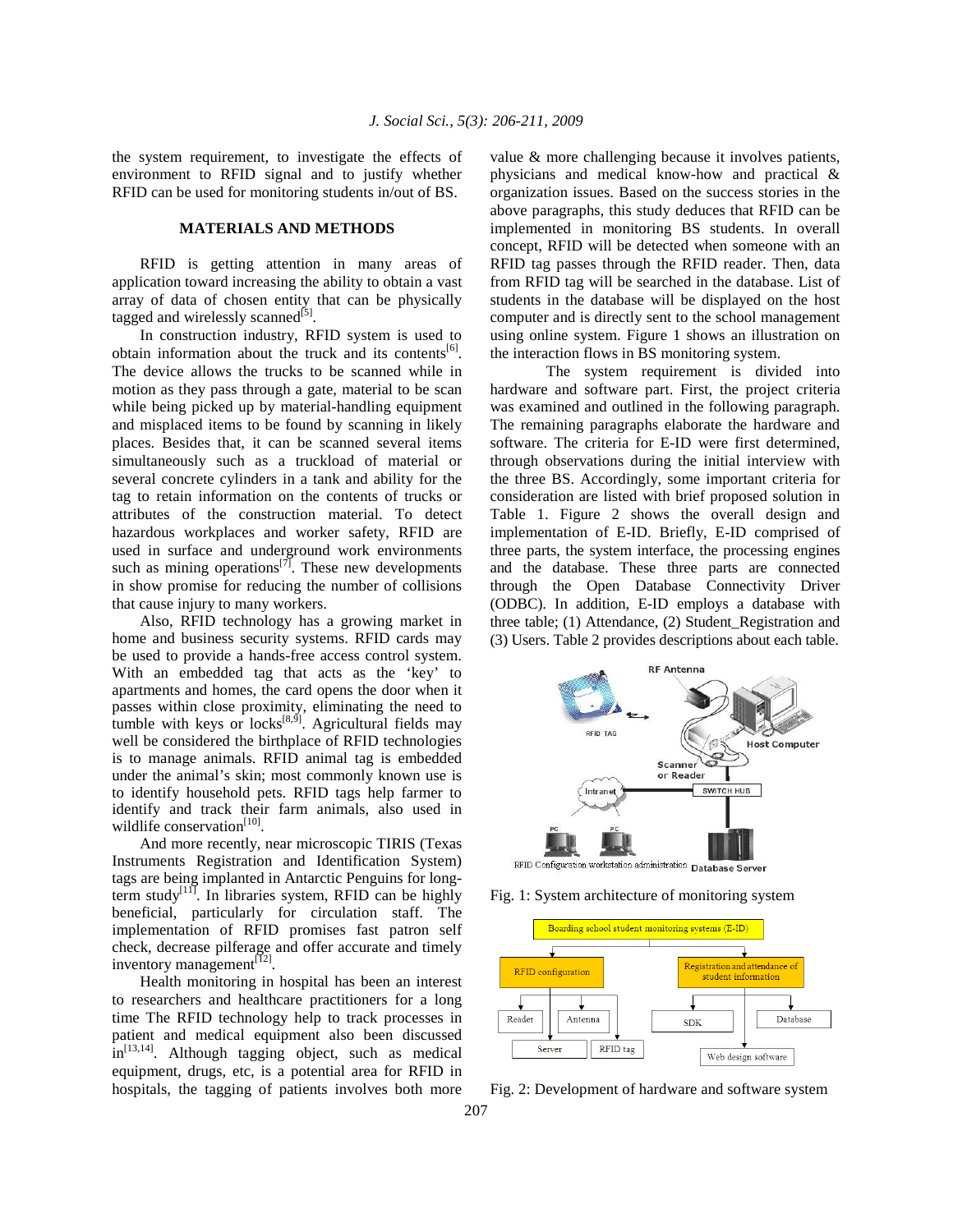the system requirement, to investigate the effects of environment to RFID signal and to justify whether RFID can be used for monitoring students in/out of BS.

## **MATERIALS AND METHODS**

 RFID is getting attention in many areas of application toward increasing the ability to obtain a vast array of data of chosen entity that can be physically tagged and wirelessly scanned<sup>[5]</sup>.

 In construction industry, RFID system is used to obtain information about the truck and its contents<sup>[6]</sup>. The device allows the trucks to be scanned while in motion as they pass through a gate, material to be scan while being picked up by material-handling equipment and misplaced items to be found by scanning in likely places. Besides that, it can be scanned several items simultaneously such as a truckload of material or several concrete cylinders in a tank and ability for the tag to retain information on the contents of trucks or attributes of the construction material. To detect hazardous workplaces and worker safety, RFID are used in surface and underground work environments such as mining operations<sup>[7]</sup>. These new developments in show promise for reducing the number of collisions that cause injury to many workers.

 Also, RFID technology has a growing market in home and business security systems. RFID cards may be used to provide a hands-free access control system. With an embedded tag that acts as the 'key' to apartments and homes, the card opens the door when it passes within close proximity, eliminating the need to tumble with keys or locks $[8, 9]$ . Agricultural fields may well be considered the birthplace of RFID technologies is to manage animals. RFID animal tag is embedded under the animal's skin; most commonly known use is to identify household pets. RFID tags help farmer to identify and track their farm animals, also used in wildlife conservation<sup>[10]</sup>.

 And more recently, near microscopic TIRIS (Texas Instruments Registration and Identification System) tags are being implanted in Antarctic Penguins for longterm study $\begin{bmatrix} 11 \end{bmatrix}$ . In libraries system, RFID can be highly beneficial, particularly for circulation staff. The implementation of RFID promises fast patron self check, decrease pilferage and offer accurate and timely inventory management $^{[12]}$ .

 Health monitoring in hospital has been an interest to researchers and healthcare practitioners for a long time The RFID technology help to track processes in patient and medical equipment also been discussed  $\sin^{[13,14]}$ . Although tagging object, such as medical equipment, drugs, etc, is a potential area for RFID in hospitals, the tagging of patients involves both more value & more challenging because it involves patients, physicians and medical know-how and practical & organization issues. Based on the success stories in the above paragraphs, this study deduces that RFID can be implemented in monitoring BS students. In overall concept, RFID will be detected when someone with an RFID tag passes through the RFID reader. Then, data from RFID tag will be searched in the database. List of students in the database will be displayed on the host computer and is directly sent to the school management using online system. Figure 1 shows an illustration on the interaction flows in BS monitoring system.

 The system requirement is divided into hardware and software part. First, the project criteria was examined and outlined in the following paragraph. The remaining paragraphs elaborate the hardware and software. The criteria for E-ID were first determined, through observations during the initial interview with the three BS. Accordingly, some important criteria for consideration are listed with brief proposed solution in Table 1. Figure 2 shows the overall design and implementation of E-ID. Briefly, E-ID comprised of three parts, the system interface, the processing engines and the database. These three parts are connected through the Open Database Connectivity Driver (ODBC). In addition, E-ID employs a database with three table; (1) Attendance, (2) Student\_Registration and (3) Users. Table 2 provides descriptions about each table.



RFID Configuration workstation administration Database Server





Fig. 2: Development of hardware and software system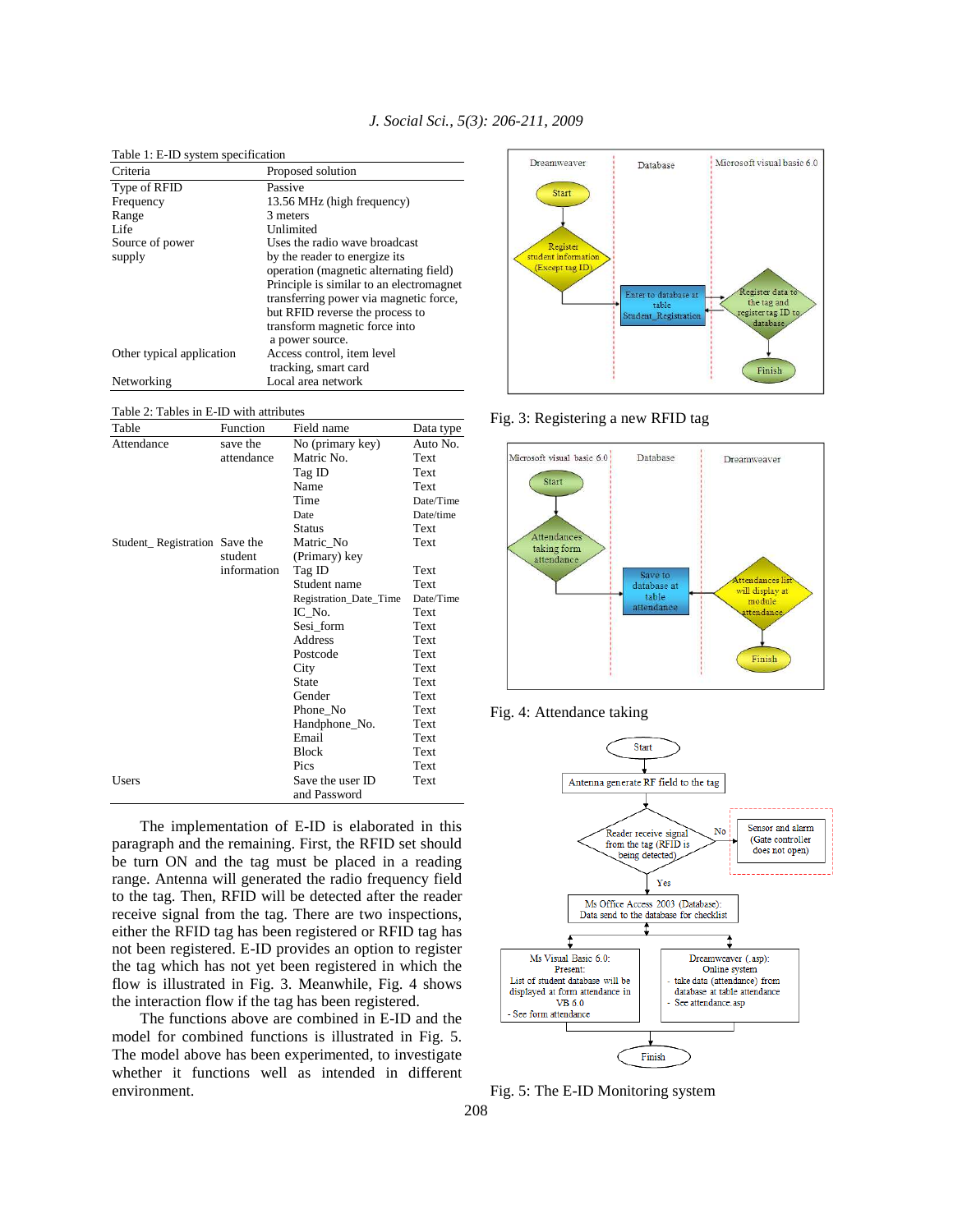| Criteria<br>Proposed solution<br>Type of RFID<br>Passive<br>13.56 MHz (high frequency)<br>Frequency<br>3 meters<br>Range<br>Life<br>Unlimited<br>Uses the radio wave broadcast<br>Source of power<br>by the reader to energize its<br>supply<br>operation (magnetic alternating field)<br>transferring power via magnetic force,<br>but RFID reverse the process to<br>transform magnetic force into<br>a power source.<br>Access control, item level<br>Other typical application<br>tracking, smart card<br>Local area network<br>Networking | Table 1: E-ID system specification |  |
|------------------------------------------------------------------------------------------------------------------------------------------------------------------------------------------------------------------------------------------------------------------------------------------------------------------------------------------------------------------------------------------------------------------------------------------------------------------------------------------------------------------------------------------------|------------------------------------|--|
|                                                                                                                                                                                                                                                                                                                                                                                                                                                                                                                                                |                                    |  |
|                                                                                                                                                                                                                                                                                                                                                                                                                                                                                                                                                |                                    |  |
| Principle is similar to an electromagnet                                                                                                                                                                                                                                                                                                                                                                                                                                                                                                       |                                    |  |
|                                                                                                                                                                                                                                                                                                                                                                                                                                                                                                                                                |                                    |  |
|                                                                                                                                                                                                                                                                                                                                                                                                                                                                                                                                                |                                    |  |
|                                                                                                                                                                                                                                                                                                                                                                                                                                                                                                                                                |                                    |  |
|                                                                                                                                                                                                                                                                                                                                                                                                                                                                                                                                                |                                    |  |
|                                                                                                                                                                                                                                                                                                                                                                                                                                                                                                                                                |                                    |  |
|                                                                                                                                                                                                                                                                                                                                                                                                                                                                                                                                                |                                    |  |
|                                                                                                                                                                                                                                                                                                                                                                                                                                                                                                                                                |                                    |  |
|                                                                                                                                                                                                                                                                                                                                                                                                                                                                                                                                                |                                    |  |
|                                                                                                                                                                                                                                                                                                                                                                                                                                                                                                                                                |                                    |  |
|                                                                                                                                                                                                                                                                                                                                                                                                                                                                                                                                                |                                    |  |
|                                                                                                                                                                                                                                                                                                                                                                                                                                                                                                                                                |                                    |  |
|                                                                                                                                                                                                                                                                                                                                                                                                                                                                                                                                                |                                    |  |
|                                                                                                                                                                                                                                                                                                                                                                                                                                                                                                                                                |                                    |  |

*J. Social Sci., 5(3): 206-211, 2009* 

Table 2: Tables in E-ID with attributes

| Table                         | Function    | Field name             | Data type |
|-------------------------------|-------------|------------------------|-----------|
| Attendance                    | save the    | No (primary key)       | Auto No.  |
|                               | attendance  | Matric No.             | Text      |
|                               |             | Tag ID                 | Text      |
|                               |             | Name                   | Text      |
|                               |             | Time                   | Date/Time |
|                               |             | Date                   | Date/time |
|                               |             | Status                 | Text      |
| Student_Registration Save the |             | Matric_No              | Text      |
|                               | student     | (Primary) key          |           |
|                               | information | Tag ID                 | Text      |
|                               |             | Student name           | Text      |
|                               |             | Registration_Date_Time | Date/Time |
|                               |             | IC No.                 | Text      |
|                               |             | Sesi_form              | Text      |
|                               |             | Address                | Text      |
|                               |             | Postcode               | Text      |
|                               |             | City                   | Text      |
|                               |             | State                  | Text      |
|                               |             | Gender                 | Text      |
|                               |             | Phone_No               | Text      |
|                               |             | Handphone_No.          | Text      |
|                               |             | Email                  | Text      |
|                               |             | Block                  | Text      |
|                               |             | Pics                   | Text      |
| Users                         |             | Save the user ID       | Text      |
|                               |             | and Password           |           |

 The implementation of E-ID is elaborated in this paragraph and the remaining. First, the RFID set should be turn ON and the tag must be placed in a reading range. Antenna will generated the radio frequency field to the tag. Then, RFID will be detected after the reader receive signal from the tag. There are two inspections, either the RFID tag has been registered or RFID tag has not been registered. E-ID provides an option to register the tag which has not yet been registered in which the flow is illustrated in Fig. 3. Meanwhile, Fig. 4 shows the interaction flow if the tag has been registered.

 The functions above are combined in E-ID and the model for combined functions is illustrated in Fig. 5. The model above has been experimented, to investigate whether it functions well as intended in different environment.



Fig. 3: Registering a new RFID tag







Fig. 5: The E-ID Monitoring system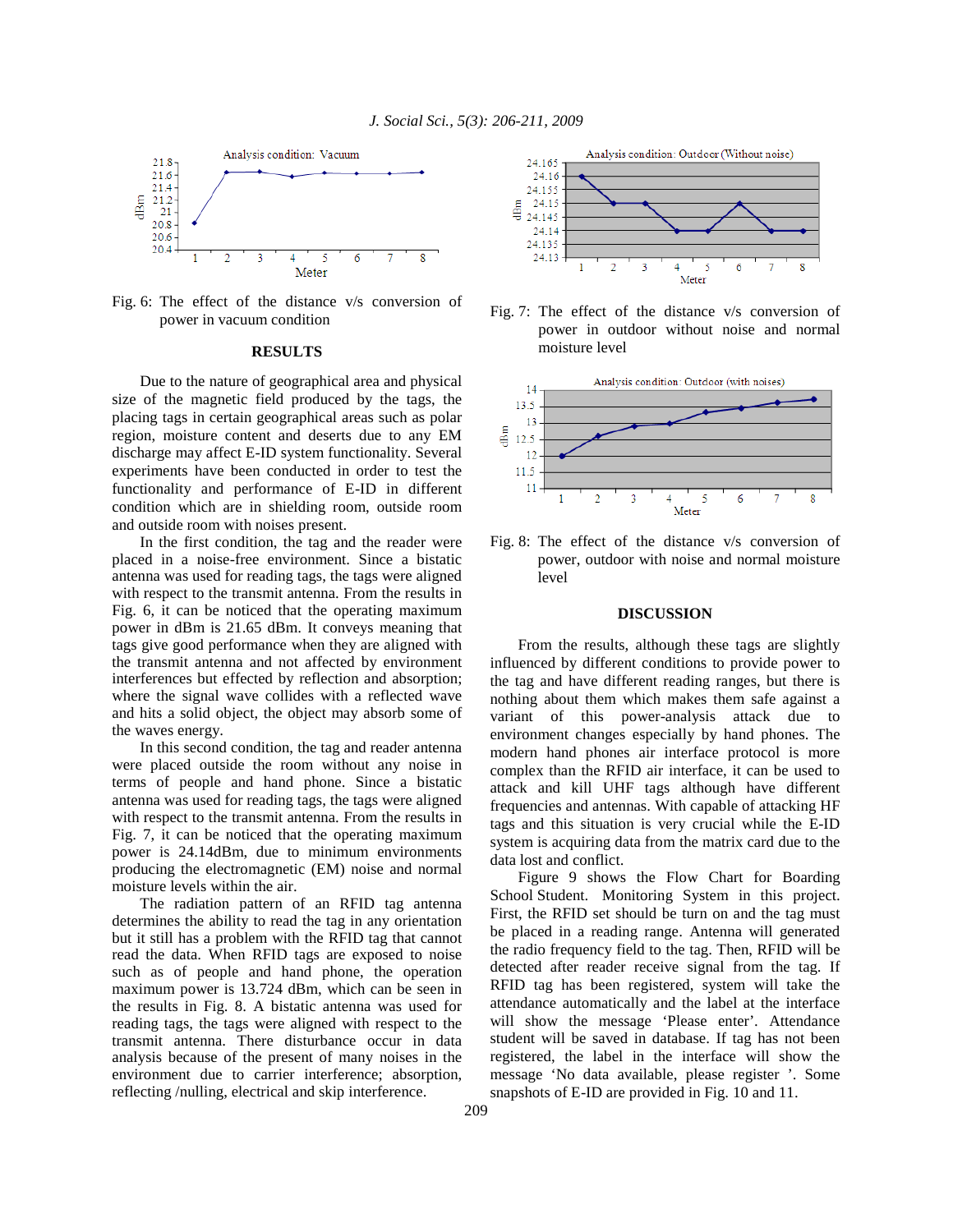

Fig. 6: The effect of the distance v/s conversion of power in vacuum condition

#### **RESULTS**

 Due to the nature of geographical area and physical size of the magnetic field produced by the tags, the placing tags in certain geographical areas such as polar region, moisture content and deserts due to any EM discharge may affect E-ID system functionality. Several experiments have been conducted in order to test the functionality and performance of E-ID in different condition which are in shielding room, outside room and outside room with noises present.

 In the first condition, the tag and the reader were placed in a noise-free environment. Since a bistatic antenna was used for reading tags, the tags were aligned with respect to the transmit antenna. From the results in Fig. 6, it can be noticed that the operating maximum power in dBm is 21.65 dBm. It conveys meaning that tags give good performance when they are aligned with the transmit antenna and not affected by environment interferences but effected by reflection and absorption; where the signal wave collides with a reflected wave and hits a solid object, the object may absorb some of the waves energy.

 In this second condition, the tag and reader antenna were placed outside the room without any noise in terms of people and hand phone. Since a bistatic antenna was used for reading tags, the tags were aligned with respect to the transmit antenna. From the results in Fig. 7, it can be noticed that the operating maximum power is 24.14dBm, due to minimum environments producing the electromagnetic (EM) noise and normal moisture levels within the air.

 The radiation pattern of an RFID tag antenna determines the ability to read the tag in any orientation but it still has a problem with the RFID tag that cannot read the data. When RFID tags are exposed to noise such as of people and hand phone, the operation maximum power is 13.724 dBm, which can be seen in the results in Fig. 8. A bistatic antenna was used for reading tags, the tags were aligned with respect to the transmit antenna. There disturbance occur in data analysis because of the present of many noises in the environment due to carrier interference; absorption, reflecting /nulling, electrical and skip interference.



Fig. 7: The effect of the distance v/s conversion of power in outdoor without noise and normal moisture level



Fig. 8: The effect of the distance v/s conversion of power, outdoor with noise and normal moisture level

#### **DISCUSSION**

 From the results, although these tags are slightly influenced by different conditions to provide power to the tag and have different reading ranges, but there is nothing about them which makes them safe against a variant of this power-analysis attack due to environment changes especially by hand phones. The modern hand phones air interface protocol is more complex than the RFID air interface, it can be used to attack and kill UHF tags although have different frequencies and antennas. With capable of attacking HF tags and this situation is very crucial while the E-ID system is acquiring data from the matrix card due to the data lost and conflict.

 Figure 9 shows the Flow Chart for Boarding School Student. Monitoring System in this project. First, the RFID set should be turn on and the tag must be placed in a reading range. Antenna will generated the radio frequency field to the tag. Then, RFID will be detected after reader receive signal from the tag. If RFID tag has been registered, system will take the attendance automatically and the label at the interface will show the message 'Please enter'. Attendance student will be saved in database. If tag has not been registered, the label in the interface will show the message 'No data available, please register '. Some snapshots of E-ID are provided in Fig. 10 and 11.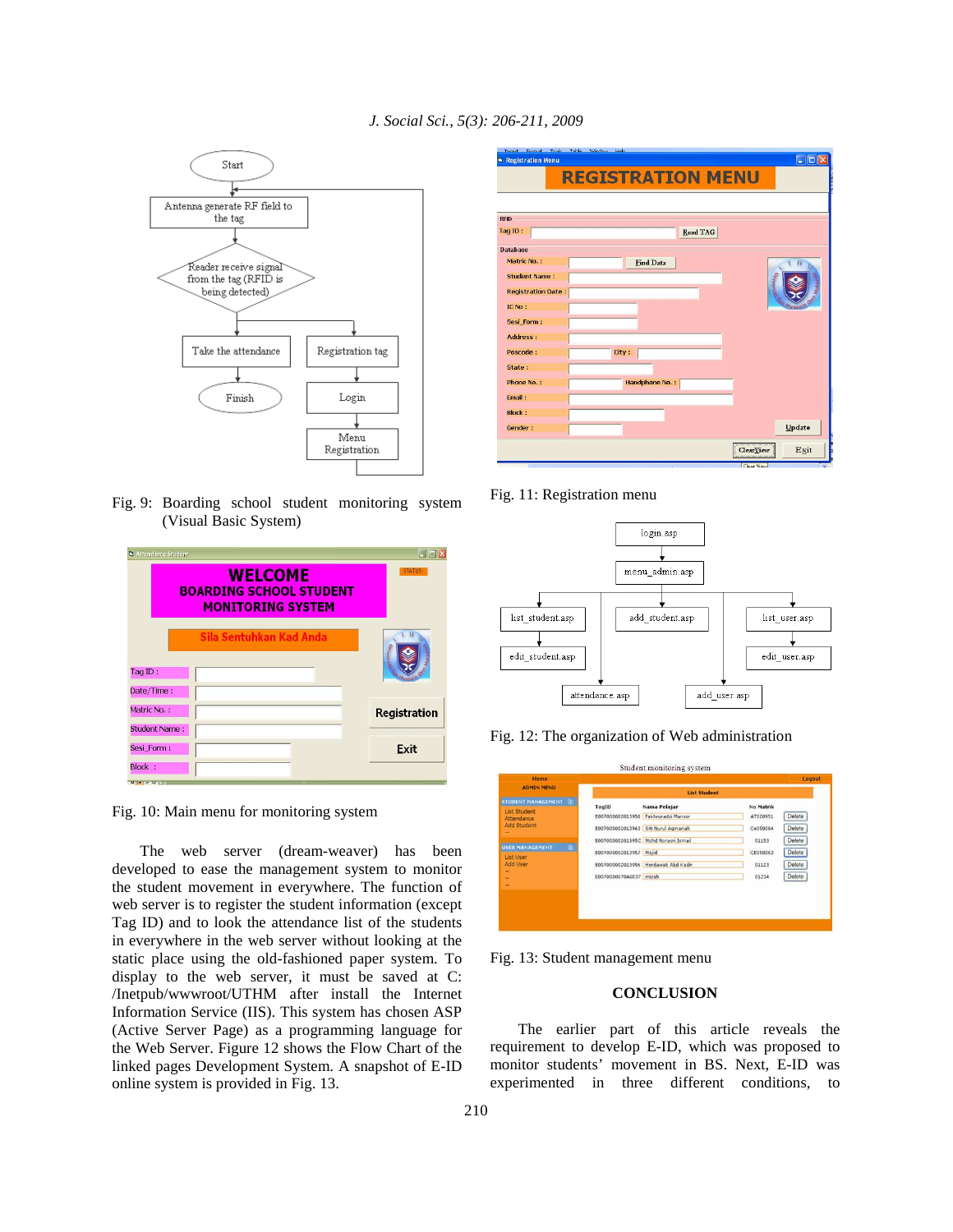*J. Social Sci., 5(3): 206-211, 2009* 



Fig. 9: Boarding school student monitoring system (Visual Basic System)

| S Attendance Student                                                         | - 19                |
|------------------------------------------------------------------------------|---------------------|
| <b>WELCOME</b><br><b>BOARDING SCHOOL STUDENT</b><br><b>MONITORING SYSTEM</b> | <b>STATUS:</b>      |
| Sila Sentuhkan Kad Anda<br>TagID:<br>Date/Time:                              | mocre               |
| Matric No.:<br><b>Student Name:</b>                                          | <b>Registration</b> |
| Sesi Form:<br>Block:                                                         | Exit                |

Fig. 10: Main menu for monitoring system

 The web server (dream-weaver) has been developed to ease the management system to monitor the student movement in everywhere. The function of web server is to register the student information (except Tag ID) and to look the attendance list of the students in everywhere in the web server without looking at the static place using the old-fashioned paper system. To display to the web server, it must be saved at C: /Inetpub/wwwroot/UTHM after install the Internet Information Service (IIS). This system has chosen ASP (Active Server Page) as a programming language for the Web Server. Figure 12 shows the Flow Chart of the linked pages Development System. A snapshot of E-ID online system is provided in Fig. 13.

|                           | <b>REGISTRATION MENU</b> |          |                   |
|---------------------------|--------------------------|----------|-------------------|
| <b>RFID</b>               |                          |          |                   |
| Tag ID:                   |                          | Read TAG |                   |
| <b>Database</b>           |                          |          |                   |
| Matric No.:               | Find Data                |          |                   |
| <b>Student Name:</b>      |                          |          |                   |
| <b>Registration Date:</b> |                          |          | <b>University</b> |
| IC No:                    |                          |          |                   |
| Sesi Form:                |                          |          |                   |
| <b>Address:</b>           |                          |          |                   |
| Poscode:                  | City:                    |          |                   |
| State:                    |                          |          |                   |
| Phone No.:                | Handphone No.:           |          |                   |
| Email:                    |                          |          |                   |
| <b>Block:</b>             |                          |          |                   |
|                           |                          |          | Update            |

Fig. 11: Registration menu



Fig. 12: The organization of Web administration

| <b>Home</b><br><b>ADMIN MENU</b>                      |                        |                                      |           | Logout |
|-------------------------------------------------------|------------------------|--------------------------------------|-----------|--------|
|                                                       |                        | <b>List Student</b>                  |           |        |
| STUDENT MANAGEMENT (8)                                | TagID                  | Nama Pelajar                         | No Matrik |        |
| <b>List Student</b><br>Attendance                     |                        | E007000002013958 Fakhruradzi Mansor  | AT020951  | Delete |
| <b>Add Student</b><br>-                               |                        | E007000002013963 Siti Nurul Agmariah | Ce050064  | Delete |
|                                                       |                        | E00700000201395C Mohd Norasri Ismail | 01153     | Delete |
| $\circ$<br><b>USER MANAGEMENT</b><br><b>List User</b> | E007000002013957 Majid |                                      | CE050063  | Delete |
| Add User                                              |                        | E007000002013956 Herdawati Abd Kadir | 01123     | Delete |
| ÷                                                     | E0070000070A0E37 mizah |                                      | 01234     | Delete |
| ٠                                                     |                        |                                      |           |        |
|                                                       |                        |                                      |           |        |
|                                                       |                        |                                      |           |        |

Fig. 13: Student management menu

## **CONCLUSION**

 The earlier part of this article reveals the requirement to develop E-ID, which was proposed to monitor students' movement in BS. Next, E-ID was experimented in three different conditions, to